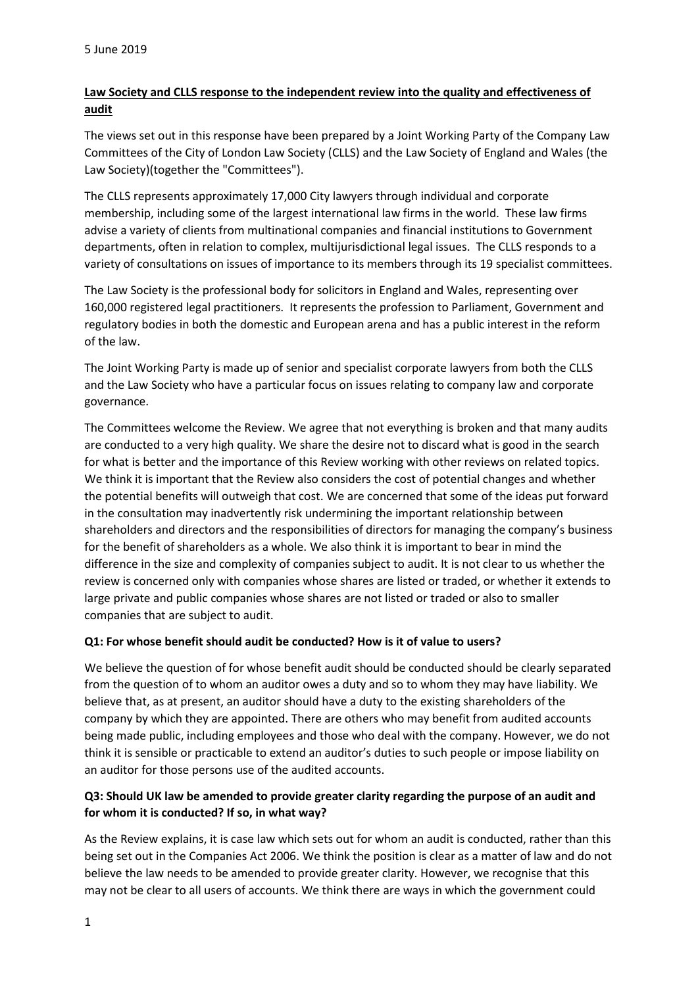# **Law Society and CLLS response to the independent review into the quality and effectiveness of audit**

The views set out in this response have been prepared by a Joint Working Party of the Company Law Committees of the City of London Law Society (CLLS) and the Law Society of England and Wales (the Law Society)(together the "Committees").

The CLLS represents approximately 17,000 City lawyers through individual and corporate membership, including some of the largest international law firms in the world. These law firms advise a variety of clients from multinational companies and financial institutions to Government departments, often in relation to complex, multijurisdictional legal issues. The CLLS responds to a variety of consultations on issues of importance to its members through its 19 specialist committees.

The Law Society is the professional body for solicitors in England and Wales, representing over 160,000 registered legal practitioners. It represents the profession to Parliament, Government and regulatory bodies in both the domestic and European arena and has a public interest in the reform of the law.

The Joint Working Party is made up of senior and specialist corporate lawyers from both the CLLS and the Law Society who have a particular focus on issues relating to company law and corporate governance.

The Committees welcome the Review. We agree that not everything is broken and that many audits are conducted to a very high quality. We share the desire not to discard what is good in the search for what is better and the importance of this Review working with other reviews on related topics. We think it is important that the Review also considers the cost of potential changes and whether the potential benefits will outweigh that cost. We are concerned that some of the ideas put forward in the consultation may inadvertently risk undermining the important relationship between shareholders and directors and the responsibilities of directors for managing the company's business for the benefit of shareholders as a whole. We also think it is important to bear in mind the difference in the size and complexity of companies subject to audit. It is not clear to us whether the review is concerned only with companies whose shares are listed or traded, or whether it extends to large private and public companies whose shares are not listed or traded or also to smaller companies that are subject to audit.

### **Q1: For whose benefit should audit be conducted? How is it of value to users?**

We believe the question of for whose benefit audit should be conducted should be clearly separated from the question of to whom an auditor owes a duty and so to whom they may have liability. We believe that, as at present, an auditor should have a duty to the existing shareholders of the company by which they are appointed. There are others who may benefit from audited accounts being made public, including employees and those who deal with the company. However, we do not think it is sensible or practicable to extend an auditor's duties to such people or impose liability on an auditor for those persons use of the audited accounts.

# **Q3: Should UK law be amended to provide greater clarity regarding the purpose of an audit and for whom it is conducted? If so, in what way?**

As the Review explains, it is case law which sets out for whom an audit is conducted, rather than this being set out in the Companies Act 2006. We think the position is clear as a matter of law and do not believe the law needs to be amended to provide greater clarity. However, we recognise that this may not be clear to all users of accounts. We think there are ways in which the government could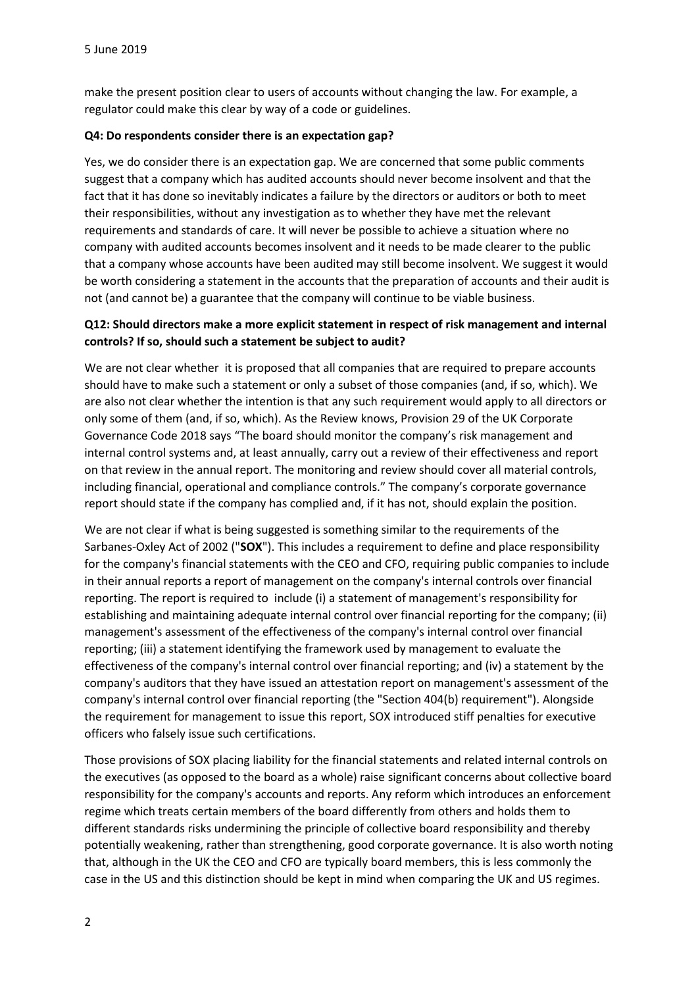make the present position clear to users of accounts without changing the law. For example, a regulator could make this clear by way of a code or guidelines.

#### **Q4: Do respondents consider there is an expectation gap?**

Yes, we do consider there is an expectation gap. We are concerned that some public comments suggest that a company which has audited accounts should never become insolvent and that the fact that it has done so inevitably indicates a failure by the directors or auditors or both to meet their responsibilities, without any investigation as to whether they have met the relevant requirements and standards of care. It will never be possible to achieve a situation where no company with audited accounts becomes insolvent and it needs to be made clearer to the public that a company whose accounts have been audited may still become insolvent. We suggest it would be worth considering a statement in the accounts that the preparation of accounts and their audit is not (and cannot be) a guarantee that the company will continue to be viable business.

### **Q12: Should directors make a more explicit statement in respect of risk management and internal controls? If so, should such a statement be subject to audit?**

We are not clear whether it is proposed that all companies that are required to prepare accounts should have to make such a statement or only a subset of those companies (and, if so, which). We are also not clear whether the intention is that any such requirement would apply to all directors or only some of them (and, if so, which). As the Review knows, Provision 29 of the UK Corporate Governance Code 2018 says "The board should monitor the company's risk management and internal control systems and, at least annually, carry out a review of their effectiveness and report on that review in the annual report. The monitoring and review should cover all material controls, including financial, operational and compliance controls." The company's corporate governance report should state if the company has complied and, if it has not, should explain the position.

We are not clear if what is being suggested is something similar to the requirements of the Sarbanes-Oxley Act of 2002 ("**SOX**"). This includes a requirement to define and place responsibility for the company's financial statements with the CEO and CFO, requiring public companies to include in their annual reports a report of management on the company's internal controls over financial reporting. The report is required to include (i) a statement of management's responsibility for establishing and maintaining adequate internal control over financial reporting for the company; (ii) management's assessment of the effectiveness of the company's internal control over financial reporting; (iii) a statement identifying the framework used by management to evaluate the effectiveness of the company's internal control over financial reporting; and (iv) a statement by the company's auditors that they have issued an attestation report on management's assessment of the company's internal control over financial reporting (the "Section 404(b) requirement"). Alongside the requirement for management to issue this report, SOX introduced stiff penalties for executive officers who falsely issue such certifications.

Those provisions of SOX placing liability for the financial statements and related internal controls on the executives (as opposed to the board as a whole) raise significant concerns about collective board responsibility for the company's accounts and reports. Any reform which introduces an enforcement regime which treats certain members of the board differently from others and holds them to different standards risks undermining the principle of collective board responsibility and thereby potentially weakening, rather than strengthening, good corporate governance. It is also worth noting that, although in the UK the CEO and CFO are typically board members, this is less commonly the case in the US and this distinction should be kept in mind when comparing the UK and US regimes.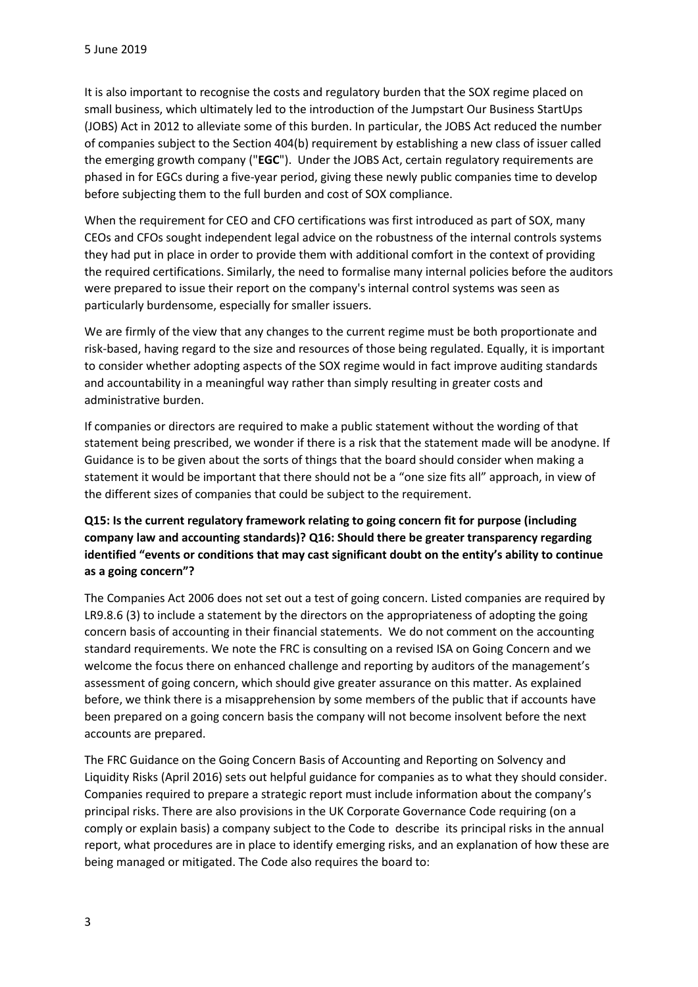It is also important to recognise the costs and regulatory burden that the SOX regime placed on small business, which ultimately led to the introduction of the Jumpstart Our Business StartUps (JOBS) Act in 2012 to alleviate some of this burden. In particular, the JOBS Act reduced the number of companies subject to the Section 404(b) requirement by establishing a new class of issuer called the emerging growth company ("**EGC**"). Under the JOBS Act, certain regulatory requirements are phased in for EGCs during a five-year period, giving these newly public companies time to develop before subjecting them to the full burden and cost of SOX compliance.

When the requirement for CEO and CFO certifications was first introduced as part of SOX, many CEOs and CFOs sought independent legal advice on the robustness of the internal controls systems they had put in place in order to provide them with additional comfort in the context of providing the required certifications. Similarly, the need to formalise many internal policies before the auditors were prepared to issue their report on the company's internal control systems was seen as particularly burdensome, especially for smaller issuers.

We are firmly of the view that any changes to the current regime must be both proportionate and risk-based, having regard to the size and resources of those being regulated. Equally, it is important to consider whether adopting aspects of the SOX regime would in fact improve auditing standards and accountability in a meaningful way rather than simply resulting in greater costs and administrative burden.

If companies or directors are required to make a public statement without the wording of that statement being prescribed, we wonder if there is a risk that the statement made will be anodyne. If Guidance is to be given about the sorts of things that the board should consider when making a statement it would be important that there should not be a "one size fits all" approach, in view of the different sizes of companies that could be subject to the requirement.

# **Q15: Is the current regulatory framework relating to going concern fit for purpose (including company law and accounting standards)? Q16: Should there be greater transparency regarding identified "events or conditions that may cast significant doubt on the entity's ability to continue as a going concern"?**

The Companies Act 2006 does not set out a test of going concern. Listed companies are required by LR9.8.6 (3) to include a statement by the directors on the appropriateness of adopting the going concern basis of accounting in their financial statements. We do not comment on the accounting standard requirements. We note the FRC is consulting on a revised ISA on Going Concern and we welcome the focus there on enhanced challenge and reporting by auditors of the management's assessment of going concern, which should give greater assurance on this matter. As explained before, we think there is a misapprehension by some members of the public that if accounts have been prepared on a going concern basis the company will not become insolvent before the next accounts are prepared.

The FRC Guidance on the Going Concern Basis of Accounting and Reporting on Solvency and Liquidity Risks (April 2016) sets out helpful guidance for companies as to what they should consider. Companies required to prepare a strategic report must include information about the company's principal risks. There are also provisions in the UK Corporate Governance Code requiring (on a comply or explain basis) a company subject to the Code to describe its principal risks in the annual report, what procedures are in place to identify emerging risks, and an explanation of how these are being managed or mitigated. The Code also requires the board to: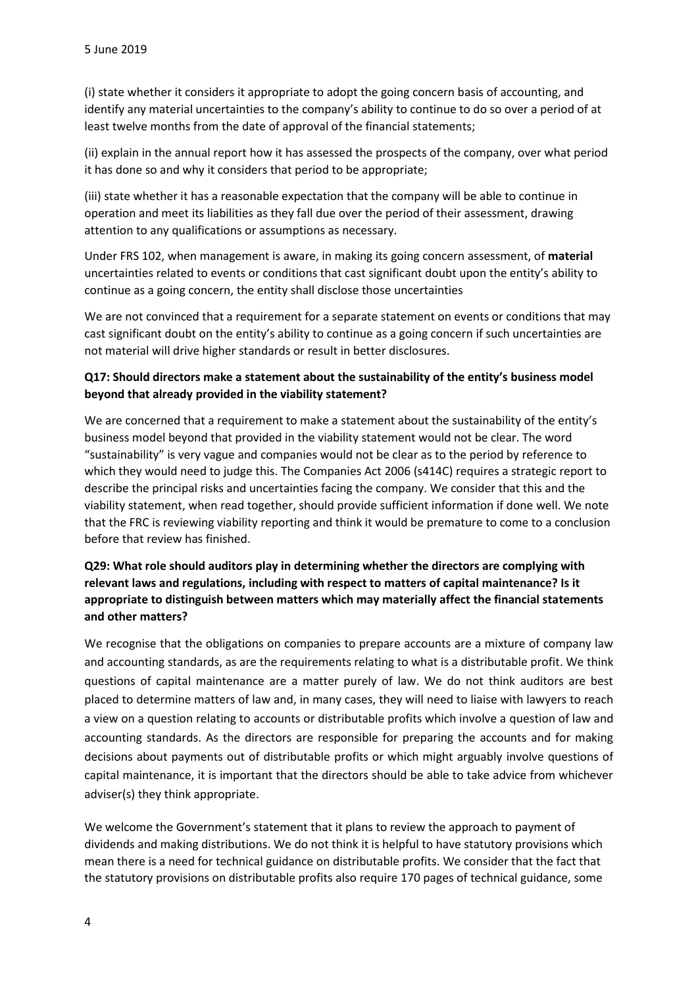(i) state whether it considers it appropriate to adopt the going concern basis of accounting, and identify any material uncertainties to the company's ability to continue to do so over a period of at least twelve months from the date of approval of the financial statements;

(ii) explain in the annual report how it has assessed the prospects of the company, over what period it has done so and why it considers that period to be appropriate;

(iii) state whether it has a reasonable expectation that the company will be able to continue in operation and meet its liabilities as they fall due over the period of their assessment, drawing attention to any qualifications or assumptions as necessary.

Under FRS 102, when management is aware, in making its going concern assessment, of **material**  uncertainties related to events or conditions that cast significant doubt upon the entity's ability to continue as a going concern, the entity shall disclose those uncertainties

We are not convinced that a requirement for a separate statement on events or conditions that may cast significant doubt on the entity's ability to continue as a going concern if such uncertainties are not material will drive higher standards or result in better disclosures.

### **Q17: Should directors make a statement about the sustainability of the entity's business model beyond that already provided in the viability statement?**

We are concerned that a requirement to make a statement about the sustainability of the entity's business model beyond that provided in the viability statement would not be clear. The word "sustainability" is very vague and companies would not be clear as to the period by reference to which they would need to judge this. The Companies Act 2006 (s414C) requires a strategic report to describe the principal risks and uncertainties facing the company. We consider that this and the viability statement, when read together, should provide sufficient information if done well. We note that the FRC is reviewing viability reporting and think it would be premature to come to a conclusion before that review has finished.

# **Q29: What role should auditors play in determining whether the directors are complying with relevant laws and regulations, including with respect to matters of capital maintenance? Is it appropriate to distinguish between matters which may materially affect the financial statements and other matters?**

We recognise that the obligations on companies to prepare accounts are a mixture of company law and accounting standards, as are the requirements relating to what is a distributable profit. We think questions of capital maintenance are a matter purely of law. We do not think auditors are best placed to determine matters of law and, in many cases, they will need to liaise with lawyers to reach a view on a question relating to accounts or distributable profits which involve a question of law and accounting standards. As the directors are responsible for preparing the accounts and for making decisions about payments out of distributable profits or which might arguably involve questions of capital maintenance, it is important that the directors should be able to take advice from whichever adviser(s) they think appropriate.

We welcome the Government's statement that it plans to review the approach to payment of dividends and making distributions. We do not think it is helpful to have statutory provisions which mean there is a need for technical guidance on distributable profits. We consider that the fact that the statutory provisions on distributable profits also require 170 pages of technical guidance, some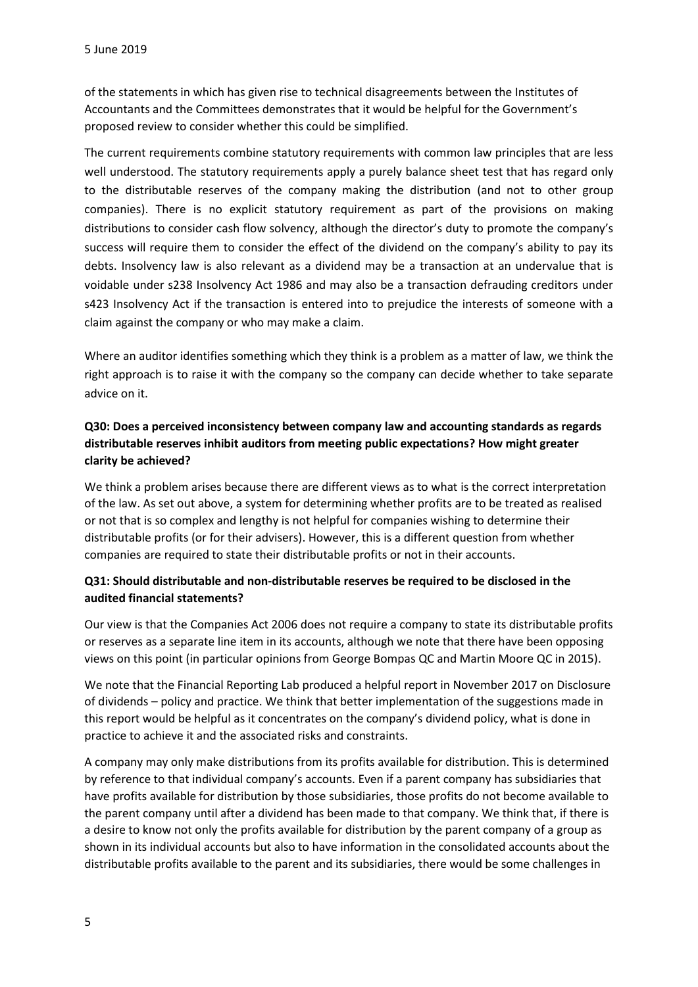of the statements in which has given rise to technical disagreements between the Institutes of Accountants and the Committees demonstrates that it would be helpful for the Government's proposed review to consider whether this could be simplified.

The current requirements combine statutory requirements with common law principles that are less well understood. The statutory requirements apply a purely balance sheet test that has regard only to the distributable reserves of the company making the distribution (and not to other group companies). There is no explicit statutory requirement as part of the provisions on making distributions to consider cash flow solvency, although the director's duty to promote the company's success will require them to consider the effect of the dividend on the company's ability to pay its debts. Insolvency law is also relevant as a dividend may be a transaction at an undervalue that is voidable under s238 Insolvency Act 1986 and may also be a transaction defrauding creditors under s423 Insolvency Act if the transaction is entered into to prejudice the interests of someone with a claim against the company or who may make a claim.

Where an auditor identifies something which they think is a problem as a matter of law, we think the right approach is to raise it with the company so the company can decide whether to take separate advice on it.

# **Q30: Does a perceived inconsistency between company law and accounting standards as regards distributable reserves inhibit auditors from meeting public expectations? How might greater clarity be achieved?**

We think a problem arises because there are different views as to what is the correct interpretation of the law. As set out above, a system for determining whether profits are to be treated as realised or not that is so complex and lengthy is not helpful for companies wishing to determine their distributable profits (or for their advisers). However, this is a different question from whether companies are required to state their distributable profits or not in their accounts.

### **Q31: Should distributable and non-distributable reserves be required to be disclosed in the audited financial statements?**

Our view is that the Companies Act 2006 does not require a company to state its distributable profits or reserves as a separate line item in its accounts, although we note that there have been opposing views on this point (in particular opinions from George Bompas QC and Martin Moore QC in 2015).

We note that the Financial Reporting Lab produced a helpful report in November 2017 on Disclosure of dividends – policy and practice. We think that better implementation of the suggestions made in this report would be helpful as it concentrates on the company's dividend policy, what is done in practice to achieve it and the associated risks and constraints.

A company may only make distributions from its profits available for distribution. This is determined by reference to that individual company's accounts. Even if a parent company has subsidiaries that have profits available for distribution by those subsidiaries, those profits do not become available to the parent company until after a dividend has been made to that company. We think that, if there is a desire to know not only the profits available for distribution by the parent company of a group as shown in its individual accounts but also to have information in the consolidated accounts about the distributable profits available to the parent and its subsidiaries, there would be some challenges in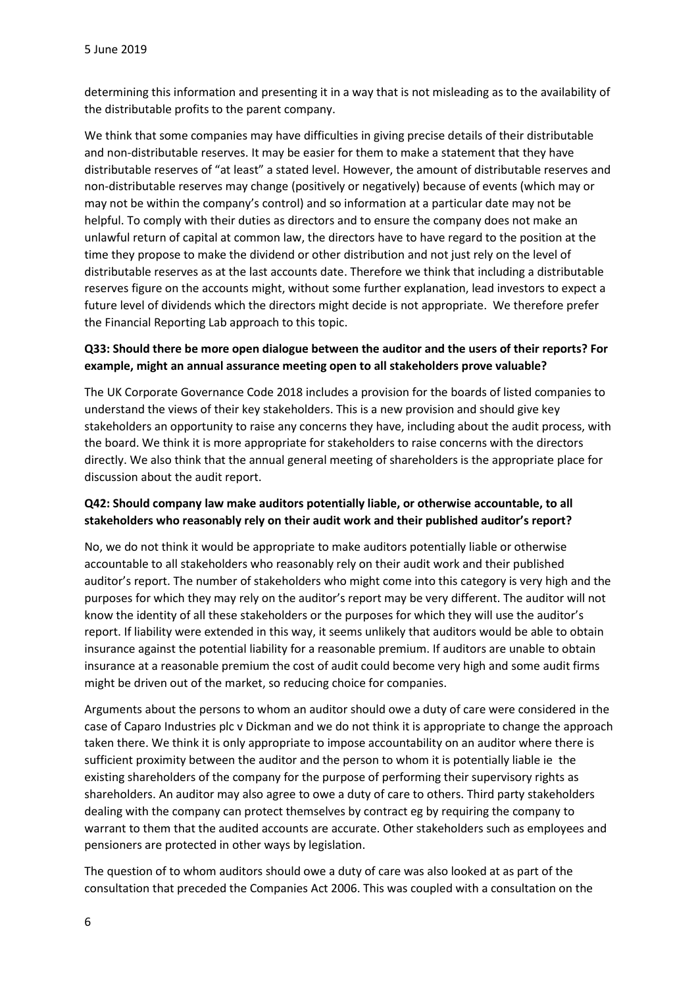determining this information and presenting it in a way that is not misleading as to the availability of the distributable profits to the parent company.

We think that some companies may have difficulties in giving precise details of their distributable and non-distributable reserves. It may be easier for them to make a statement that they have distributable reserves of "at least" a stated level. However, the amount of distributable reserves and non-distributable reserves may change (positively or negatively) because of events (which may or may not be within the company's control) and so information at a particular date may not be helpful. To comply with their duties as directors and to ensure the company does not make an unlawful return of capital at common law, the directors have to have regard to the position at the time they propose to make the dividend or other distribution and not just rely on the level of distributable reserves as at the last accounts date. Therefore we think that including a distributable reserves figure on the accounts might, without some further explanation, lead investors to expect a future level of dividends which the directors might decide is not appropriate. We therefore prefer the Financial Reporting Lab approach to this topic.

### **Q33: Should there be more open dialogue between the auditor and the users of their reports? For example, might an annual assurance meeting open to all stakeholders prove valuable?**

The UK Corporate Governance Code 2018 includes a provision for the boards of listed companies to understand the views of their key stakeholders. This is a new provision and should give key stakeholders an opportunity to raise any concerns they have, including about the audit process, with the board. We think it is more appropriate for stakeholders to raise concerns with the directors directly. We also think that the annual general meeting of shareholders is the appropriate place for discussion about the audit report.

### **Q42: Should company law make auditors potentially liable, or otherwise accountable, to all stakeholders who reasonably rely on their audit work and their published auditor's report?**

No, we do not think it would be appropriate to make auditors potentially liable or otherwise accountable to all stakeholders who reasonably rely on their audit work and their published auditor's report. The number of stakeholders who might come into this category is very high and the purposes for which they may rely on the auditor's report may be very different. The auditor will not know the identity of all these stakeholders or the purposes for which they will use the auditor's report. If liability were extended in this way, it seems unlikely that auditors would be able to obtain insurance against the potential liability for a reasonable premium. If auditors are unable to obtain insurance at a reasonable premium the cost of audit could become very high and some audit firms might be driven out of the market, so reducing choice for companies.

Arguments about the persons to whom an auditor should owe a duty of care were considered in the case of Caparo Industries plc v Dickman and we do not think it is appropriate to change the approach taken there. We think it is only appropriate to impose accountability on an auditor where there is sufficient proximity between the auditor and the person to whom it is potentially liable ie the existing shareholders of the company for the purpose of performing their supervisory rights as shareholders. An auditor may also agree to owe a duty of care to others. Third party stakeholders dealing with the company can protect themselves by contract eg by requiring the company to warrant to them that the audited accounts are accurate. Other stakeholders such as employees and pensioners are protected in other ways by legislation.

The question of to whom auditors should owe a duty of care was also looked at as part of the consultation that preceded the Companies Act 2006. This was coupled with a consultation on the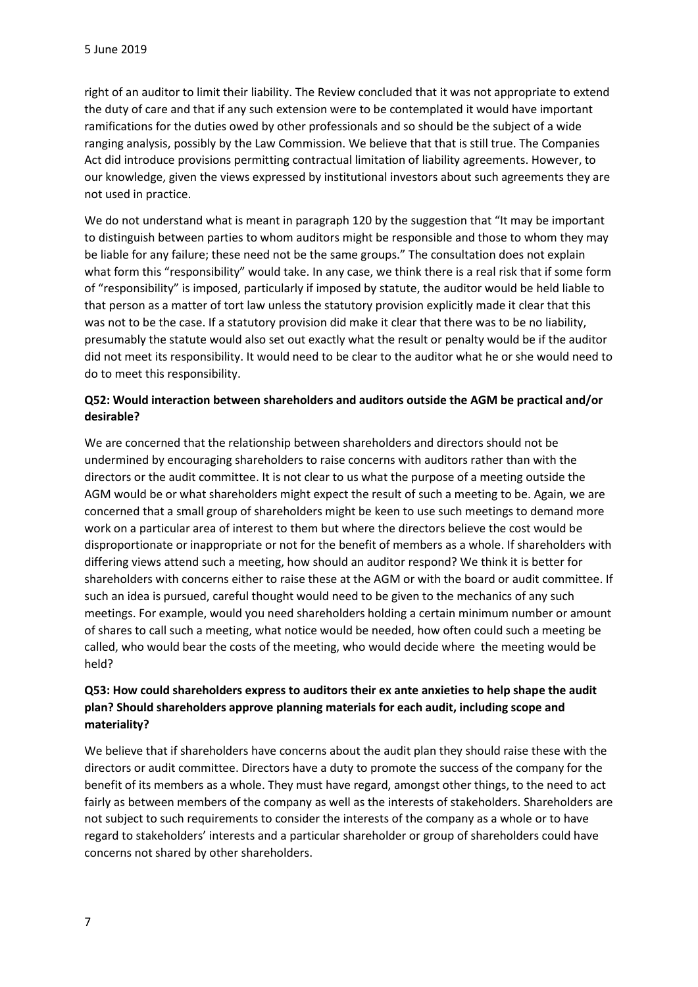right of an auditor to limit their liability. The Review concluded that it was not appropriate to extend the duty of care and that if any such extension were to be contemplated it would have important ramifications for the duties owed by other professionals and so should be the subject of a wide ranging analysis, possibly by the Law Commission. We believe that that is still true. The Companies Act did introduce provisions permitting contractual limitation of liability agreements. However, to our knowledge, given the views expressed by institutional investors about such agreements they are not used in practice.

We do not understand what is meant in paragraph 120 by the suggestion that "It may be important to distinguish between parties to whom auditors might be responsible and those to whom they may be liable for any failure; these need not be the same groups." The consultation does not explain what form this "responsibility" would take. In any case, we think there is a real risk that if some form of "responsibility" is imposed, particularly if imposed by statute, the auditor would be held liable to that person as a matter of tort law unless the statutory provision explicitly made it clear that this was not to be the case. If a statutory provision did make it clear that there was to be no liability, presumably the statute would also set out exactly what the result or penalty would be if the auditor did not meet its responsibility. It would need to be clear to the auditor what he or she would need to do to meet this responsibility.

### **Q52: Would interaction between shareholders and auditors outside the AGM be practical and/or desirable?**

We are concerned that the relationship between shareholders and directors should not be undermined by encouraging shareholders to raise concerns with auditors rather than with the directors or the audit committee. It is not clear to us what the purpose of a meeting outside the AGM would be or what shareholders might expect the result of such a meeting to be. Again, we are concerned that a small group of shareholders might be keen to use such meetings to demand more work on a particular area of interest to them but where the directors believe the cost would be disproportionate or inappropriate or not for the benefit of members as a whole. If shareholders with differing views attend such a meeting, how should an auditor respond? We think it is better for shareholders with concerns either to raise these at the AGM or with the board or audit committee. If such an idea is pursued, careful thought would need to be given to the mechanics of any such meetings. For example, would you need shareholders holding a certain minimum number or amount of shares to call such a meeting, what notice would be needed, how often could such a meeting be called, who would bear the costs of the meeting, who would decide where the meeting would be held?

# **Q53: How could shareholders express to auditors their ex ante anxieties to help shape the audit plan? Should shareholders approve planning materials for each audit, including scope and materiality?**

We believe that if shareholders have concerns about the audit plan they should raise these with the directors or audit committee. Directors have a duty to promote the success of the company for the benefit of its members as a whole. They must have regard, amongst other things, to the need to act fairly as between members of the company as well as the interests of stakeholders. Shareholders are not subject to such requirements to consider the interests of the company as a whole or to have regard to stakeholders' interests and a particular shareholder or group of shareholders could have concerns not shared by other shareholders.